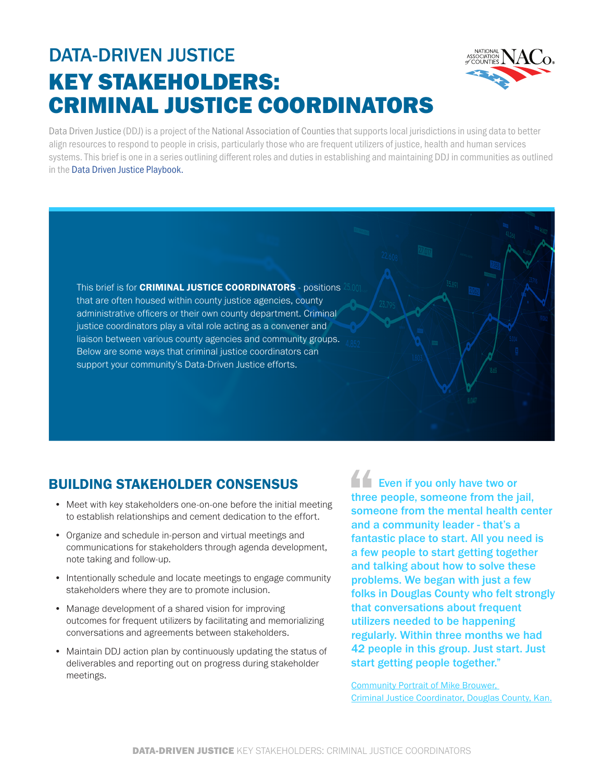# DATA-DRIVEN JUSTICE KEY STAKEHOLDERS: CRIMINAL JUSTICE COORDINATORS



Data Driven Justice (DDJ) is a project of the National Association of Counties that supports local jurisdictions in using data to better align resources to respond to people in crisis, particularly those who are frequent utilizers of justice, health and human services systems. This brief is one in a series outlining different roles and duties in establishing and maintaining DDJ in communities as outlined in the [Data Driven Justice Playbook.](https://craftmediabucket.s3.amazonaws.com/uploads/DDJPlaybook.pdf)

This brief is for CRIMINAL JUSTICE COORDINATORS - positions that are often housed within county justice agencies, county administrative officers or their own county department. Criminal justice coordinators play a vital role acting as a convener and liaison between various county agencies and community groups. Below are some ways that criminal justice coordinators can support your community's Data-Driven Justice efforts.

## BUILDING STAKEHOLDER CONSENSUS

- Meet with key stakeholders one-on-one before the initial meeting to establish relationships and cement dedication to the effort.
- Organize and schedule in-person and virtual meetings and communications for stakeholders through agenda development, note taking and follow-up.
- Intentionally schedule and locate meetings to engage community stakeholders where they are to promote inclusion.
- Manage development of a shared vision for improving outcomes for frequent utilizers by facilitating and memorializing conversations and agreements between stakeholders.
- Maintain DDJ action plan by continuously updating the status of deliverables and reporting out on progress during stakeholder meetings.

**Even if you only have two or** three people, someone from the jail, someone from the mental health center and a community leader - that's a fantastic place to start. All you need is a few people to start getting together and talking about how to solve these problems. We began with just a few folks in Douglas County who felt strongly that conversations about frequent utilizers needed to be happening regularly. Within three months we had 42 people in this group. Just start. Just start getting people together."

[Community Portrait of Mike Brouwer,](https://www.naco.org/blog/data-driven-justice-community-portrait-mike-brouwer)  [Criminal Justice Coordinator, Douglas County, Kan.](https://www.naco.org/blog/data-driven-justice-community-portrait-mike-brouwer)